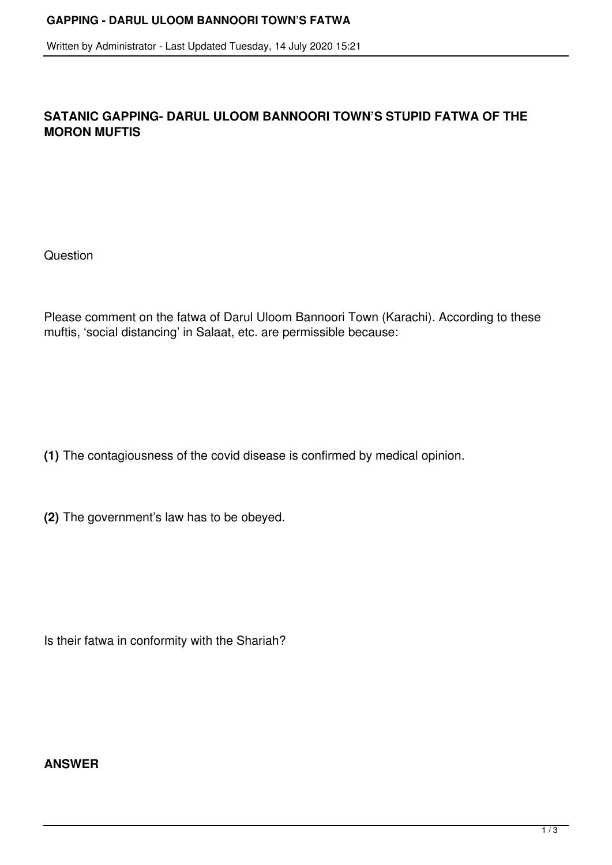Written by Administrator - Last Updated Tuesday, 14 July 2020 15:21

## **SATANIC GAPPING- DARUL ULOOM BANNOORI TOWN'S STUPID FATWA OF THE MORON MUFTIS**

**Question** 

Please comment on the fatwa of Darul Uloom Bannoori Town (Karachi). According to these muftis, 'social distancing' in Salaat, etc. are permissible because:

- **(1)** The contagiousness of the covid disease is confirmed by medical opinion.
- **(2)** The government's law has to be obeyed.

Is their fatwa in conformity with the Shariah?

## **ANSWER**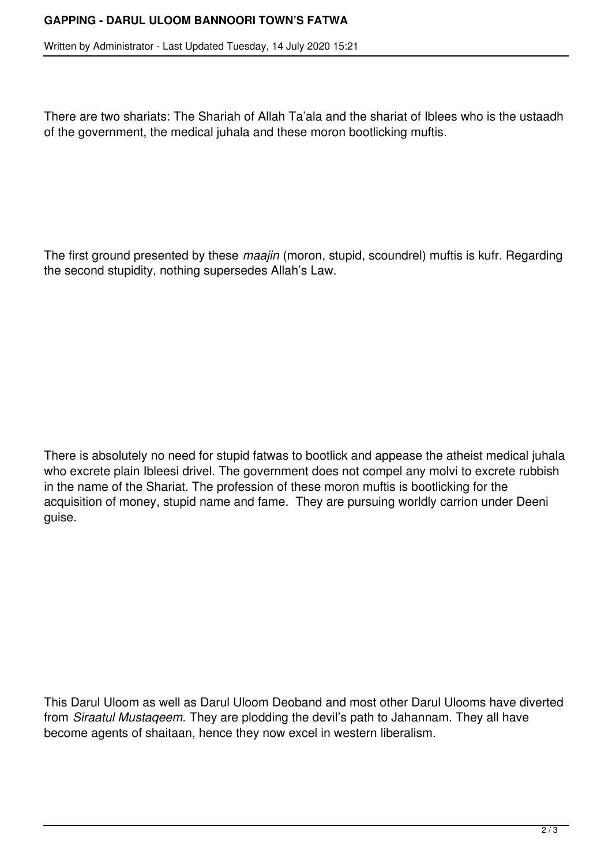## **GAPPING - DARUL ULOOM BANNOORI TOWN'S FATWA**

Written by Administrator - Last Updated Tuesday, 14 July 2020 15:21

There are two shariats: The Shariah of Allah Ta'ala and the shariat of Iblees who is the ustaadh of the government, the medical juhala and these moron bootlicking muftis.

The first ground presented by these *maajin* (moron, stupid, scoundrel) muftis is kufr. Regarding the second stupidity, nothing supersedes Allah's Law.

There is absolutely no need for stupid fatwas to bootlick and appease the atheist medical juhala who excrete plain Ibleesi drivel. The government does not compel any molvi to excrete rubbish in the name of the Shariat. The profession of these moron muftis is bootlicking for the acquisition of money, stupid name and fame. They are pursuing worldly carrion under Deeni guise.

This Darul Uloom as well as Darul Uloom Deoband and most other Darul Ulooms have diverted from *Siraatul Mustaqeem.* They are plodding the devil's path to Jahannam. They all have become agents of shaitaan, hence they now excel in western liberalism.